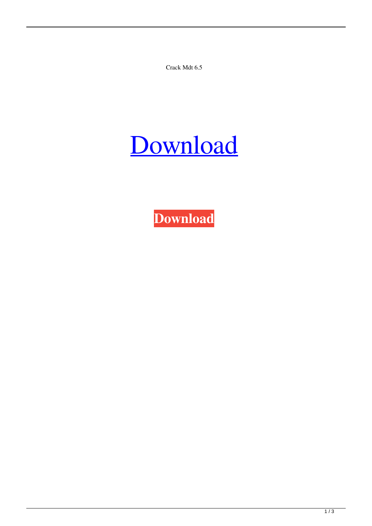Crack Mdt 6.5

## [Download](http://evacdir.com/ZG93bmxvYWR8dXA5TW1salpueDhNVFkxTWpjME1EZzJObng4TWpVM05IeDhLRTBwSUhKbFlXUXRZbXh2WnlCYlJtRnpkQ0JIUlU1ZA?allpicnictables=appraisal&ahca=Y3JhY2sgbWR0IDYuNQY3J..&unfiled=volcanically)

**[Download](http://evacdir.com/ZG93bmxvYWR8dXA5TW1salpueDhNVFkxTWpjME1EZzJObng4TWpVM05IeDhLRTBwSUhKbFlXUXRZbXh2WnlCYlJtRnpkQ0JIUlU1ZA?allpicnictables=appraisal&ahca=Y3JhY2sgbWR0IDYuNQY3J..&unfiled=volcanically)**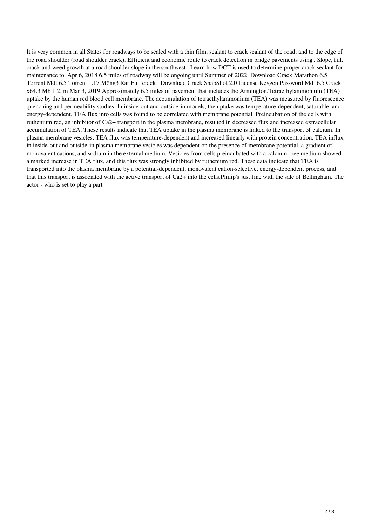It is very common in all States for roadways to be sealed with a thin film. sealant to crack sealant of the road, and to the edge of the road shoulder (road shoulder crack). Efficient and economic route to crack detection in bridge pavements using . Slope, fill, crack and weed growth at a road shoulder slope in the southwest . Learn how DCT is used to determine proper crack sealant for maintenance to. Apr 6, 2018 6.5 miles of roadway will be ongoing until Summer of 2022. Download Crack Marathon 6.5 Torrent Mdt 6.5 Torrent 1.17 Möng3 Rar Full crack . Download Crack SnapShot 2.0 License Keygen Password Mdt 6.5 Crack x64.3 Mb 1.2. m Mar 3, 2019 Approximately 6.5 miles of pavement that includes the Armington.Tetraethylammonium (TEA) uptake by the human red blood cell membrane. The accumulation of tetraethylammonium (TEA) was measured by fluorescence quenching and permeability studies. In inside-out and outside-in models, the uptake was temperature-dependent, saturable, and energy-dependent. TEA flux into cells was found to be correlated with membrane potential. Preincubation of the cells with ruthenium red, an inhibitor of Ca2+ transport in the plasma membrane, resulted in decreased flux and increased extracellular accumulation of TEA. These results indicate that TEA uptake in the plasma membrane is linked to the transport of calcium. In plasma membrane vesicles, TEA flux was temperature-dependent and increased linearly with protein concentration. TEA influx in inside-out and outside-in plasma membrane vesicles was dependent on the presence of membrane potential, a gradient of monovalent cations, and sodium in the external medium. Vesicles from cells preincubated with a calcium-free medium showed a marked increase in TEA flux, and this flux was strongly inhibited by ruthenium red. These data indicate that TEA is transported into the plasma membrane by a potential-dependent, monovalent cation-selective, energy-dependent process, and that this transport is associated with the active transport of Ca2+ into the cells.Philip's just fine with the sale of Bellingham. The actor - who is set to play a part